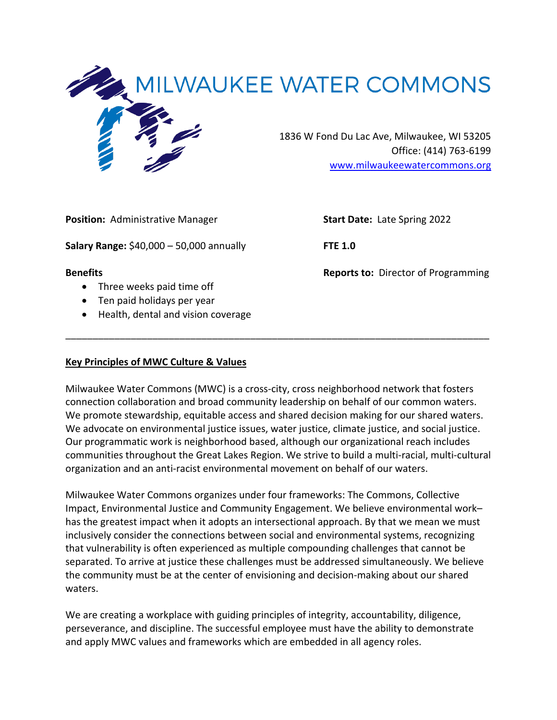

**Position:** Administrative Manager **Start Date:** Late Spring 2022

**Salary Range:** \$40,000 – 50,000 annually **FTE 1.0** 

- Three weeks paid time off
- Ten paid holidays per year
- Health, dental and vision coverage

**Benefits Benefits Benefits Reports to:** Director of Programming

# **Key Principles of MWC Culture & Values**

Milwaukee Water Commons (MWC) is a cross-city, cross neighborhood network that fosters connection collaboration and broad community leadership on behalf of our common waters. We promote stewardship, equitable access and shared decision making for our shared waters. We advocate on environmental justice issues, water justice, climate justice, and social justice. Our programmatic work is neighborhood based, although our organizational reach includes communities throughout the Great Lakes Region. We strive to build a multi-racial, multi-cultural organization and an anti-racist environmental movement on behalf of our waters.

\_\_\_\_\_\_\_\_\_\_\_\_\_\_\_\_\_\_\_\_\_\_\_\_\_\_\_\_\_\_\_\_\_\_\_\_\_\_\_\_\_\_\_\_\_\_\_\_\_\_\_\_\_\_\_\_\_\_\_\_\_\_\_\_\_\_\_\_\_\_\_\_\_\_\_\_\_\_

Milwaukee Water Commons organizes under four frameworks: The Commons, Collective Impact, Environmental Justice and Community Engagement. We believe environmental work– has the greatest impact when it adopts an intersectional approach. By that we mean we must inclusively consider the connections between social and environmental systems, recognizing that vulnerability is often experienced as multiple compounding challenges that cannot be separated. To arrive at justice these challenges must be addressed simultaneously. We believe the community must be at the center of envisioning and decision-making about our shared waters.

We are creating a workplace with guiding principles of integrity, accountability, diligence, perseverance, and discipline. The successful employee must have the ability to demonstrate and apply MWC values and frameworks which are embedded in all agency roles.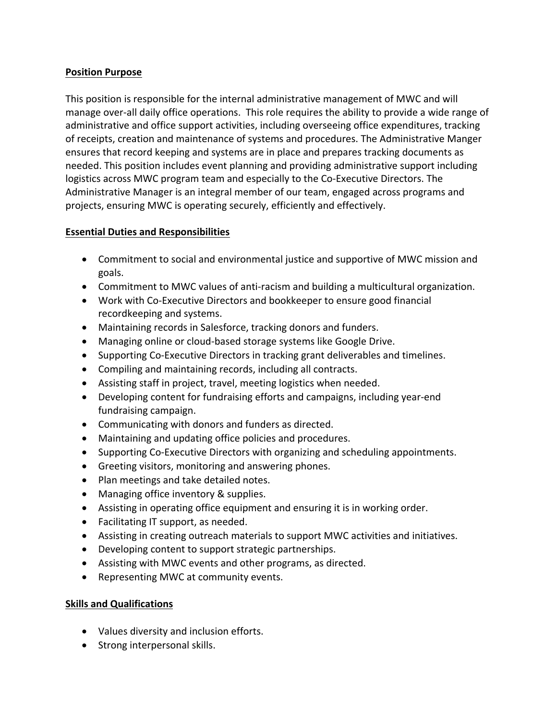## **Position Purpose**

This position is responsible for the internal administrative management of MWC and will manage over-all daily office operations. This role requires the ability to provide a wide range of administrative and office support activities, including overseeing office expenditures, tracking of receipts, creation and maintenance of systems and procedures. The Administrative Manger ensures that record keeping and systems are in place and prepares tracking documents as needed. This position includes event planning and providing administrative support including logistics across MWC program team and especially to the Co-Executive Directors. The Administrative Manager is an integral member of our team, engaged across programs and projects, ensuring MWC is operating securely, efficiently and effectively.

#### **Essential Duties and Responsibilities**

- Commitment to social and environmental justice and supportive of MWC mission and goals.
- Commitment to MWC values of anti-racism and building a multicultural organization.
- Work with Co-Executive Directors and bookkeeper to ensure good financial recordkeeping and systems.
- Maintaining records in Salesforce, tracking donors and funders.
- Managing online or cloud-based storage systems like Google Drive.
- Supporting Co-Executive Directors in tracking grant deliverables and timelines.
- Compiling and maintaining records, including all contracts.
- Assisting staff in project, travel, meeting logistics when needed.
- Developing content for fundraising efforts and campaigns, including year-end fundraising campaign.
- Communicating with donors and funders as directed.
- Maintaining and updating office policies and procedures.
- Supporting Co-Executive Directors with organizing and scheduling appointments.
- Greeting visitors, monitoring and answering phones.
- Plan meetings and take detailed notes.
- Managing office inventory & supplies.
- Assisting in operating office equipment and ensuring it is in working order.
- Facilitating IT support, as needed.
- Assisting in creating outreach materials to support MWC activities and initiatives.
- Developing content to support strategic partnerships.
- Assisting with MWC events and other programs, as directed.
- Representing MWC at community events.

## **Skills and Qualifications**

- Values diversity and inclusion efforts.
- Strong interpersonal skills.